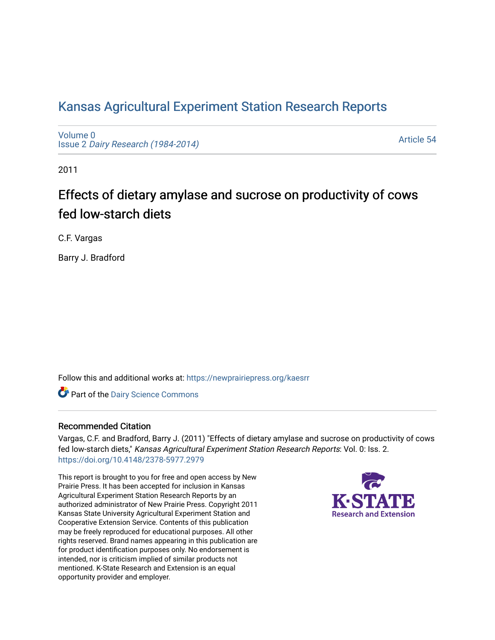# [Kansas Agricultural Experiment Station Research Reports](https://newprairiepress.org/kaesrr)

[Volume 0](https://newprairiepress.org/kaesrr/vol0) Issue 2 [Dairy Research \(1984-2014\)](https://newprairiepress.org/kaesrr/vol0/iss2) 

[Article 54](https://newprairiepress.org/kaesrr/vol0/iss2/54) 

2011

# Effects of dietary amylase and sucrose on productivity of cows fed low-starch diets

C.F. Vargas

Barry J. Bradford

Follow this and additional works at: [https://newprairiepress.org/kaesrr](https://newprairiepress.org/kaesrr?utm_source=newprairiepress.org%2Fkaesrr%2Fvol0%2Fiss2%2F54&utm_medium=PDF&utm_campaign=PDFCoverPages) 

Part of the [Dairy Science Commons](http://network.bepress.com/hgg/discipline/79?utm_source=newprairiepress.org%2Fkaesrr%2Fvol0%2Fiss2%2F54&utm_medium=PDF&utm_campaign=PDFCoverPages) 

### Recommended Citation

Vargas, C.F. and Bradford, Barry J. (2011) "Effects of dietary amylase and sucrose on productivity of cows fed low-starch diets," Kansas Agricultural Experiment Station Research Reports: Vol. 0: Iss. 2. <https://doi.org/10.4148/2378-5977.2979>

This report is brought to you for free and open access by New Prairie Press. It has been accepted for inclusion in Kansas Agricultural Experiment Station Research Reports by an authorized administrator of New Prairie Press. Copyright 2011 Kansas State University Agricultural Experiment Station and Cooperative Extension Service. Contents of this publication may be freely reproduced for educational purposes. All other rights reserved. Brand names appearing in this publication are for product identification purposes only. No endorsement is intended, nor is criticism implied of similar products not mentioned. K-State Research and Extension is an equal opportunity provider and employer.

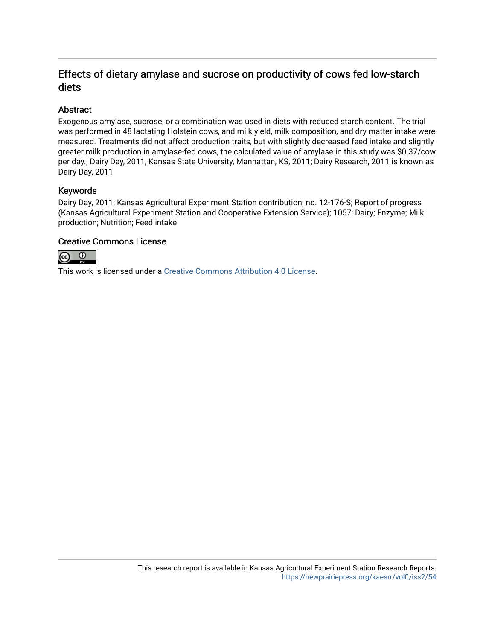## Effects of dietary amylase and sucrose on productivity of cows fed low-starch diets

### Abstract

Exogenous amylase, sucrose, or a combination was used in diets with reduced starch content. The trial was performed in 48 lactating Holstein cows, and milk yield, milk composition, and dry matter intake were measured. Treatments did not affect production traits, but with slightly decreased feed intake and slightly greater milk production in amylase-fed cows, the calculated value of amylase in this study was \$0.37/cow per day.; Dairy Day, 2011, Kansas State University, Manhattan, KS, 2011; Dairy Research, 2011 is known as Dairy Day, 2011

### Keywords

Dairy Day, 2011; Kansas Agricultural Experiment Station contribution; no. 12-176-S; Report of progress (Kansas Agricultural Experiment Station and Cooperative Extension Service); 1057; Dairy; Enzyme; Milk production; Nutrition; Feed intake

### Creative Commons License



This work is licensed under a [Creative Commons Attribution 4.0 License](https://creativecommons.org/licenses/by/4.0/).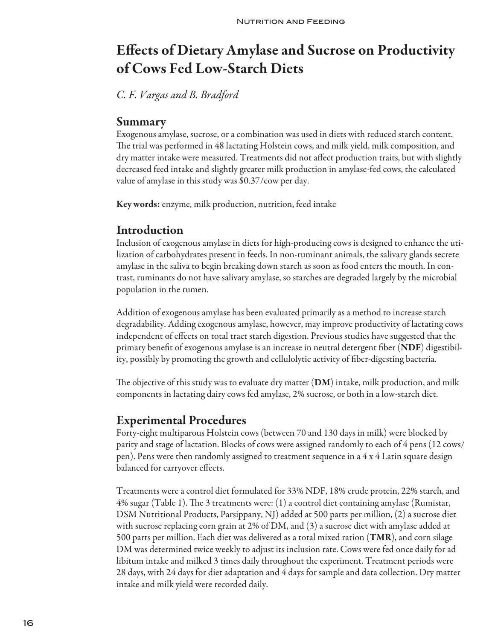# Effects of Dietary Amylase and Sucrose on Productivity of Cows Fed Low-Starch Diets

*C. F. Vargas and B. Bradford*

### Summary

Exogenous amylase, sucrose, or a combination was used in diets with reduced starch content. The trial was performed in 48 lactating Holstein cows, and milk yield, milk composition, and dry matter intake were measured. Treatments did not affect production traits, but with slightly decreased feed intake and slightly greater milk production in amylase-fed cows, the calculated value of amylase in this study was \$0.37/cow per day.

Key words: enzyme, milk production, nutrition, feed intake

# Introduction

Inclusion of exogenous amylase in diets for high-producing cows is designed to enhance the utilization of carbohydrates present in feeds. In non-ruminant animals, the salivary glands secrete amylase in the saliva to begin breaking down starch as soon as food enters the mouth. In contrast, ruminants do not have salivary amylase, so starches are degraded largely by the microbial population in the rumen.

Addition of exogenous amylase has been evaluated primarily as a method to increase starch degradability. Adding exogenous amylase, however, may improve productivity of lactating cows independent of effects on total tract starch digestion. Previous studies have suggested that the primary benefit of exogenous amylase is an increase in neutral detergent fiber (NDF) digestibility, possibly by promoting the growth and cellulolytic activity of fiber-digesting bacteria.

The objective of this study was to evaluate dry matter  $(DM)$  intake, milk production, and milk components in lactating dairy cows fed amylase, 2% sucrose, or both in a low-starch diet.

# Experimental Procedures

Forty-eight multiparous Holstein cows (between 70 and 130 days in milk) were blocked by parity and stage of lactation. Blocks of cows were assigned randomly to each of 4 pens (12 cows/ pen). Pens were then randomly assigned to treatment sequence in a 4 x 4 Latin square design balanced for carryover effects.

Treatments were a control diet formulated for 33% NDF, 18% crude protein, 22% starch, and 4% sugar (Table 1). The 3 treatments were: (1) a control diet containing amylase (Rumistar, DSM Nutritional Products, Parsippany, NJ) added at 500 parts per million, (2) a sucrose diet with sucrose replacing corn grain at 2% of DM, and (3) a sucrose diet with amylase added at 500 parts per million. Each diet was delivered as a total mixed ration  $(TMR)$ , and corn silage DM was determined twice weekly to adjust its inclusion rate. Cows were fed once daily for ad libitum intake and milked 3 times daily throughout the experiment. Treatment periods were 28 days, with 24 days for diet adaptation and 4 days for sample and data collection. Dry matter intake and milk yield were recorded daily.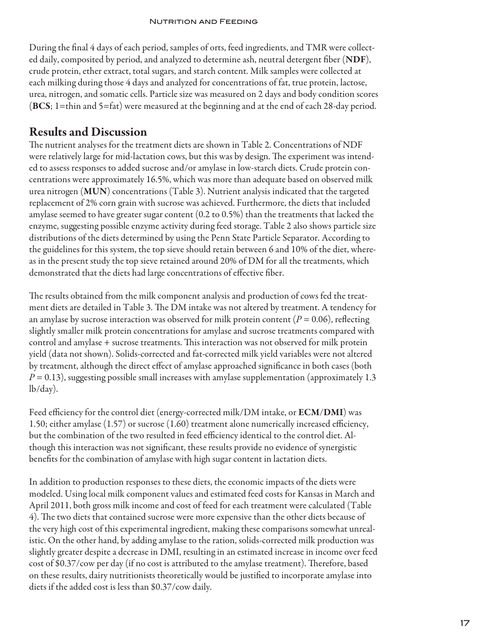During the final 4 days of each period, samples of orts, feed ingredients, and TMR were collected daily, composited by period, and analyzed to determine ash, neutral detergent fiber (NDF), crude protein, ether extract, total sugars, and starch content. Milk samples were collected at each milking during those 4 days and analyzed for concentrations of fat, true protein, lactose, urea, nitrogen, and somatic cells. Particle size was measured on 2 days and body condition scores (BCS; 1=thin and 5=fat) were measured at the beginning and at the end of each 28-day period.

# Results and Discussion

The nutrient analyses for the treatment diets are shown in Table 2. Concentrations of NDF were relatively large for mid-lactation cows, but this was by design. The experiment was intended to assess responses to added sucrose and/or amylase in low-starch diets. Crude protein concentrations were approximately 16.5%, which was more than adequate based on observed milk urea nitrogen (MUN) concentrations (Table 3). Nutrient analysis indicated that the targeted replacement of 2% corn grain with sucrose was achieved. Furthermore, the diets that included amylase seemed to have greater sugar content (0.2 to 0.5%) than the treatments that lacked the enzyme, suggesting possible enzyme activity during feed storage. Table 2 also shows particle size distributions of the diets determined by using the Penn State Particle Separator. According to the guidelines for this system, the top sieve should retain between 6 and 10% of the diet, whereas in the present study the top sieve retained around 20% of DM for all the treatments, which demonstrated that the diets had large concentrations of effective fiber.

The results obtained from the milk component analysis and production of cows fed the treatment diets are detailed in Table 3. The DM intake was not altered by treatment. A tendency for an amylase by sucrose interaction was observed for milk protein content ( $P = 0.06$ ), reflecting slightly smaller milk protein concentrations for amylase and sucrose treatments compared with control and amylase + sucrose treatments. This interaction was not observed for milk protein yield (data not shown). Solids-corrected and fat-corrected milk yield variables were not altered by treatment, although the direct effect of amylase approached significance in both cases (both  $P = 0.13$ ), suggesting possible small increases with amylase supplementation (approximately 1.3) lb/day).

Feed efficiency for the control diet (energy-corrected milk/DM intake, or  $ECM/DMI$ ) was 1.50; either amylase (1.57) or sucrose (1.60) treatment alone numerically increased efficiency, but the combination of the two resulted in feed efficiency identical to the control diet. Although this interaction was not significant, these results provide no evidence of synergistic benefits for the combination of amylase with high sugar content in lactation diets.

In addition to production responses to these diets, the economic impacts of the diets were modeled. Using local milk component values and estimated feed costs for Kansas in March and April 2011, both gross milk income and cost of feed for each treatment were calculated (Table 4). The two diets that contained sucrose were more expensive than the other diets because of the very high cost of this experimental ingredient, making these comparisons somewhat unrealistic. On the other hand, by adding amylase to the ration, solids-corrected milk production was slightly greater despite a decrease in DMI, resulting in an estimated increase in income over feed cost of \$0.37/cow per day (if no cost is attributed to the amylase treatment). Therefore, based on these results, dairy nutritionists theoretically would be justified to incorporate amylase into diets if the added cost is less than \$0.37/cow daily.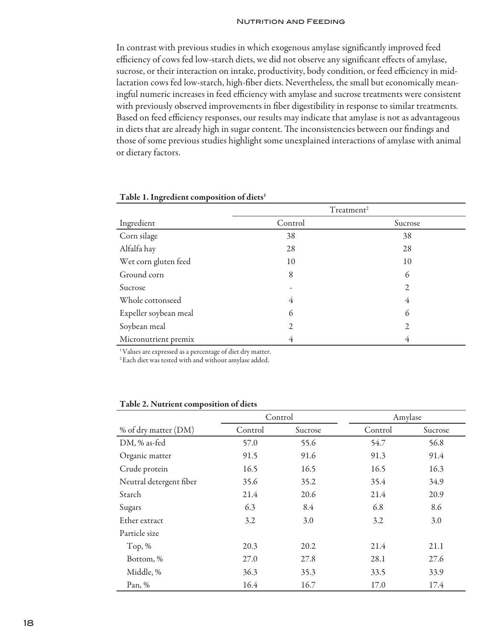#### **NUTRITION AND FEEDING**

In contrast with previous studies in which exogenous amylase significantly improved feed efficiency of cows fed low-starch diets, we did not observe any significant effects of amylase, sucrose, or their interaction on intake, productivity, body condition, or feed efficiency in midlactation cows fed low-starch, high-fiber diets. Nevertheless, the small but economically meaningful numeric increases in feed efficiency with amylase and sucrose treatments were consistent with previously observed improvements in fiber digestibility in response to similar treatments. Based on feed efficiency responses, our results may indicate that amylase is not as advantageous in diets that are already high in sugar content. The inconsistencies between our findings and those of some previous studies highlight some unexplained interactions of amylase with animal or dietary factors.

|                       | Treatment <sup>2</sup> |                |  |  |
|-----------------------|------------------------|----------------|--|--|
| Ingredient            | Control                | Sucrose        |  |  |
| Corn silage           | 38                     | 38             |  |  |
| Alfalfa hay           | 28                     | 28             |  |  |
| Wet corn gluten feed  | 10                     | 10             |  |  |
| Ground corn           | 8                      | 6              |  |  |
| Sucrose               |                        | $\overline{2}$ |  |  |
| Whole cottonseed      | 4                      | 4              |  |  |
| Expeller soybean meal | 6                      | 6              |  |  |
| Soybean meal          | $\overline{2}$         | 2              |  |  |
| Micronutrient premix  | 4                      | 4              |  |  |

#### Table 1. Ingredient composition of diets<sup>1</sup>

1 Values are expressed as a percentage of diet dry matter.

2 Each diet was tested with and without amylase added.

#### Table 2. Nutrient composition of diets

|                         | Control |         | Amylase |         |
|-------------------------|---------|---------|---------|---------|
| % of dry matter (DM)    | Control | Sucrose | Control | Sucrose |
| DM, % as-fed            | 57.0    | 55.6    | 54.7    | 56.8    |
| Organic matter          | 91.5    | 91.6    | 91.3    | 91.4    |
| Crude protein           | 16.5    | 16.5    | 16.5    | 16.3    |
| Neutral detergent fiber | 35.6    | 35.2    | 35.4    | 34.9    |
| Starch                  | 21.4    | 20.6    | 21.4    | 20.9    |
| Sugars                  | 6.3     | 8.4     | 6.8     | 8.6     |
| Ether extract           | 3.2     | 3.0     | 3.2     | 3.0     |
| Particle size           |         |         |         |         |
| Top, $%$                | 20.3    | 20.2    | 21.4    | 21.1    |
| Bottom, %               | 27.0    | 27.8    | 28.1    | 27.6    |
| Middle, %               | 36.3    | 35.3    | 33.5    | 33.9    |
| Pan, $%$                | 16.4    | 16.7    | 17.0    | 17.4    |